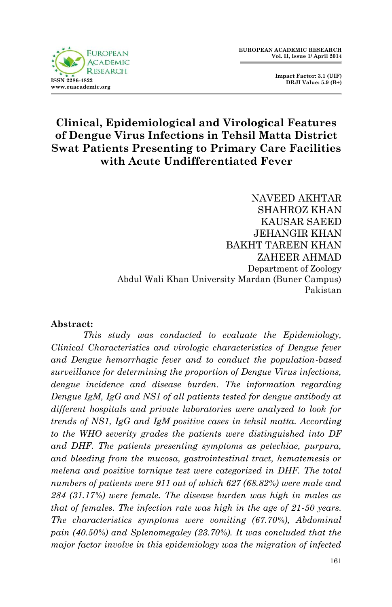

**Impact Factor: 3.1 (UIF) DRJI Value: 5.9 (B+)**

# **Clinical, Epidemiological and Virological Features of Dengue Virus Infections in Tehsil Matta District Swat Patients Presenting to Primary Care Facilities with Acute Undifferentiated Fever**

NAVEED AKHTAR SHAHROZ KHAN KAUSAR SAEED JEHANGIR KHAN BAKHT TAREEN KHAN ZAHEER AHMAD Department of Zoology Abdul Wali Khan University Mardan (Buner Campus) Pakistan

#### **Abstract:**

*This study was conducted to evaluate the Epidemiology, Clinical Characteristics and virologic characteristics of Dengue fever and Dengue hemorrhagic fever and to conduct the population-based surveillance for determining the proportion of Dengue Virus infections, dengue incidence and disease burden. The information regarding Dengue IgM, IgG and NS1 of all patients tested for dengue antibody at different hospitals and private laboratories were analyzed to look for trends of NS1, IgG and IgM positive cases in tehsil matta. According to the WHO severity grades the patients were distinguished into DF and DHF. The patients presenting symptoms as petechiae, purpura, and bleeding from the mucosa, gastrointestinal tract, hematemesis or melena and positive tornique test were categorized in DHF. The total numbers of patients were 911 out of which 627 (68.82%) were male and 284 (31.17%) were female. The disease burden was high in males as that of females. The infection rate was high in the age of 21-50 years. The characteristics symptoms were vomiting (67.70%), Abdominal pain (40.50%) and Splenomegaley (23.70%). It was concluded that the major factor involve in this epidemiology was the migration of infected*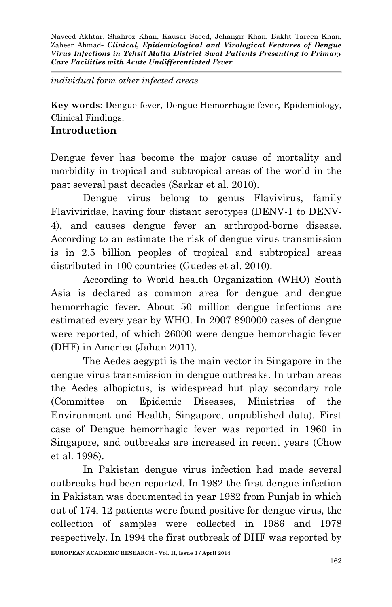*individual form other infected areas.* 

**Key words**: Dengue fever, Dengue Hemorrhagic fever, Epidemiology, Clinical Findings.

#### **Introduction**

Dengue fever has become the major cause of mortality and morbidity in tropical and subtropical areas of the world in the past several past decades (Sarkar et al. 2010).

Dengue virus belong to genus Flavivirus, family Flaviviridae, having four distant serotypes (DENV-1 to DENV-4), and causes dengue fever an arthropod-borne disease. According to an estimate the risk of dengue virus transmission is in 2.5 billion peoples of tropical and subtropical areas distributed in 100 countries (Guedes et al. 2010).

According to World health Organization (WHO) South Asia is declared as common area for dengue and dengue hemorrhagic fever. About 50 million dengue infections are estimated every year by WHO. In 2007 890000 cases of dengue were reported, of which 26000 were dengue hemorrhagic fever (DHF) in America (Jahan 2011).

The Aedes aegypti is the main vector in Singapore in the dengue virus transmission in dengue outbreaks. In urban areas the Aedes albopictus, is widespread but play secondary role (Committee on Epidemic Diseases, Ministries of the Environment and Health, Singapore, unpublished data). First case of Dengue hemorrhagic fever was reported in 1960 in Singapore, and outbreaks are increased in recent years (Chow et al. 1998).

In Pakistan dengue virus infection had made several outbreaks had been reported. In 1982 the first dengue infection in Pakistan was documented in year 1982 from Punjab in which out of 174, 12 patients were found positive for dengue virus, the collection of samples were collected in 1986 and 1978 respectively. In 1994 the first outbreak of DHF was reported by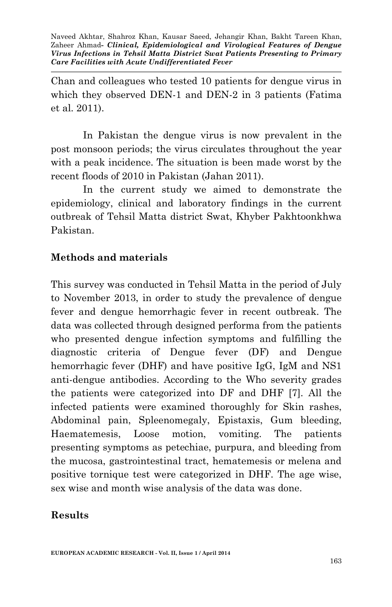Chan and colleagues who tested 10 patients for dengue virus in which they observed DEN-1 and DEN-2 in 3 patients (Fatima et al. 2011).

In Pakistan the dengue virus is now prevalent in the post monsoon periods; the virus circulates throughout the year with a peak incidence. The situation is been made worst by the recent floods of 2010 in Pakistan (Jahan 2011).

In the current study we aimed to demonstrate the epidemiology, clinical and laboratory findings in the current outbreak of Tehsil Matta district Swat, Khyber Pakhtoonkhwa Pakistan.

## **Methods and materials**

This survey was conducted in Tehsil Matta in the period of July to November 2013, in order to study the prevalence of dengue fever and dengue hemorrhagic fever in recent outbreak. The data was collected through designed performa from the patients who presented dengue infection symptoms and fulfilling the diagnostic criteria of Dengue fever (DF) and Dengue hemorrhagic fever (DHF) and have positive IgG, IgM and NS1 anti-dengue antibodies. According to the Who severity grades the patients were categorized into DF and DHF [7]. All the infected patients were examined thoroughly for Skin rashes, Abdominal pain, Spleenomegaly, Epistaxis, Gum bleeding, Haematemesis, Loose motion, vomiting. The patients presenting symptoms as petechiae, purpura, and bleeding from the mucosa, gastrointestinal tract, hematemesis or melena and positive tornique test were categorized in DHF. The age wise, sex wise and month wise analysis of the data was done.

#### **Results**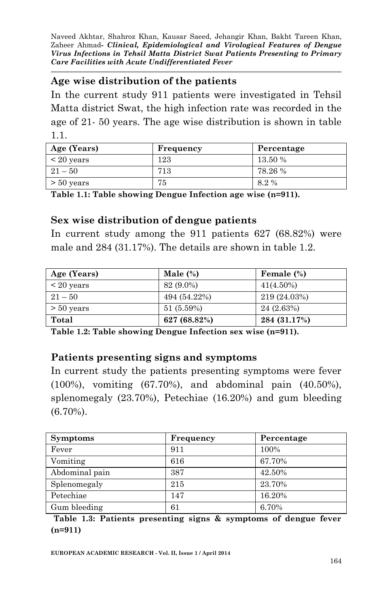### **Age wise distribution of the patients**

In the current study 911 patients were investigated in Tehsil Matta district Swat, the high infection rate was recorded in the age of 21- 50 years. The age wise distribution is shown in table 1.1.

| Age (Years)     | Frequency | Percentage |
|-----------------|-----------|------------|
| $\leq$ 20 years | 123       | 13.50 %    |
| $21 - 50$       | 713       | 78.26 %    |
| $> 50$ years    | 75        | 8.2%       |

**Table 1.1: Table showing Dengue Infection age wise (n=911).**

## **Sex wise distribution of dengue patients**

In current study among the 911 patients 627 (68.82%) were male and 284 (31.17%). The details are shown in table 1.2.

| Age (Years)     | Male $(\%)$  | Female (%)   |
|-----------------|--------------|--------------|
| $\leq$ 20 years | 82 (9.0%)    | $41(4.50\%)$ |
| $21 - 50$       | 494 (54.22%) | 219 (24.03%) |
| $> 50$ years    | $51(5.59\%)$ | 24(2.63%)    |
| Total           | 627 (68.82%) | 284 (31.17%) |

**Table 1.2: Table showing Dengue Infection sex wise (n=911).**

#### **Patients presenting signs and symptoms**

In current study the patients presenting symptoms were fever (100%), vomiting (67.70%), and abdominal pain (40.50%), splenomegaly (23.70%), Petechiae (16.20%) and gum bleeding (6.70%).

| <b>Symptoms</b> | <b>Frequency</b> | Percentage |
|-----------------|------------------|------------|
| Fever           | 911              | 100%       |
| Vomiting        | 616              | 67.70%     |
| Abdominal pain  | 387              | 42.50%     |
| Splenomegaly    | 215              | 23.70%     |
| Petechiae       | 147              | 16.20%     |
| Gum bleeding    | 61               | 6.70%      |

**Table 1.3: Patients presenting signs & symptoms of dengue fever (n=911)**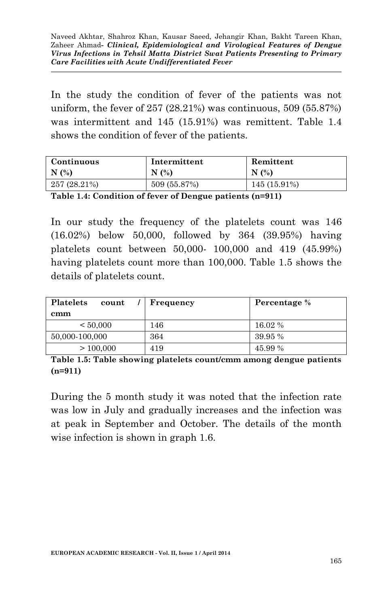In the study the condition of fever of the patients was not uniform, the fever of  $257 (28.21%)$  was continuous,  $509 (55.87%)$ was intermittent and 145 (15.91%) was remittent. Table 1.4 shows the condition of fever of the patients.

| Continuous   | Intermittent | Remittent    |
|--------------|--------------|--------------|
| N(%)         | N(%)         | N(%)         |
| 257 (28.21%) | 509 (55.87%) | 145 (15.91%) |

**Table 1.4: Condition of fever of Dengue patients (n=911)**

In our study the frequency of the platelets count was 146 (16.02%) below 50,000, followed by 364 (39.95%) having platelets count between 50,000- 100,000 and 419 (45.99%) having platelets count more than 100,000. Table 1.5 shows the details of platelets count.

| <b>Platelets</b><br>count | Frequency | Percentage % |
|---------------------------|-----------|--------------|
| cmm                       |           |              |
| ${}< 50,000$              | 146       | 16.02 %      |
| 50,000-100,000            | 364       | 39.95 %      |
| > 100,000                 | 419       | 45.99 %      |

**Table 1.5: Table showing platelets count/cmm among dengue patients (n=911)**

During the 5 month study it was noted that the infection rate was low in July and gradually increases and the infection was at peak in September and October. The details of the month wise infection is shown in graph 1.6.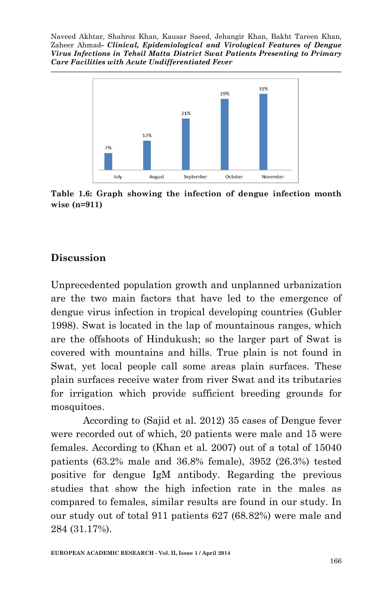

**Table 1.6: Graph showing the infection of dengue infection month wise (n=911)**

## **Discussion**

Unprecedented population growth and unplanned urbanization are the two main factors that have led to the emergence of dengue virus infection in tropical developing countries (Gubler 1998). Swat is located in the lap of mountainous ranges, which are the offshoots of Hindukush; so the larger part of Swat is covered with mountains and hills. True plain is not found in Swat, yet local people call some areas plain surfaces. These plain surfaces receive water from river Swat and its tributaries for irrigation which provide sufficient breeding grounds for mosquitoes.

According to (Sajid et al. 2012) 35 cases of Dengue fever were recorded out of which, 20 patients were male and 15 were females. According to (Khan et al. 2007) out of a total of 15040 patients (63.2% male and 36.8% female), 3952 (26.3%) tested positive for dengue IgM antibody. Regarding the previous studies that show the high infection rate in the males as compared to females, similar results are found in our study. In our study out of total 911 patients 627 (68.82%) were male and 284 (31.17%).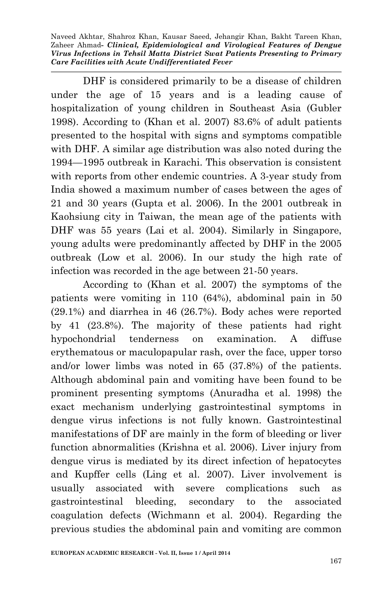DHF is considered primarily to be a disease of children under the age of 15 years and is a leading cause of hospitalization of young children in Southeast Asia (Gubler 1998). According to (Khan et al. 2007) 83.6% of adult patients presented to the hospital with signs and symptoms compatible with DHF. A similar age distribution was also noted during the 1994—1995 outbreak in Karachi. This observation is consistent with reports from other endemic countries. A 3-year study from India showed a maximum number of cases between the ages of 21 and 30 years (Gupta et al. 2006). In the 2001 outbreak in Kaohsiung city in Taiwan, the mean age of the patients with DHF was 55 years (Lai et al. 2004). Similarly in Singapore, young adults were predominantly affected by DHF in the 2005 outbreak (Low et al. 2006). In our study the high rate of infection was recorded in the age between 21-50 years.

According to (Khan et al. 2007) the symptoms of the patients were vomiting in 110 (64%), abdominal pain in 50 (29.1%) and diarrhea in 46 (26.7%). Body aches were reported by 41 (23.8%). The majority of these patients had right hypochondrial tenderness on examination. A diffuse erythematous or maculopapular rash, over the face, upper torso and/or lower limbs was noted in 65 (37.8%) of the patients. Although abdominal pain and vomiting have been found to be prominent presenting symptoms (Anuradha et al. 1998) the exact mechanism underlying gastrointestinal symptoms in dengue virus infections is not fully known. Gastrointestinal manifestations of DF are mainly in the form of bleeding or liver function abnormalities (Krishna et al. 2006). Liver injury from dengue virus is mediated by its direct infection of hepatocytes and Kupffer cells (Ling et al. 2007). Liver involvement is usually associated with severe complications such as gastrointestinal bleeding, secondary to the associated coagulation defects (Wichmann et al. 2004). Regarding the previous studies the abdominal pain and vomiting are common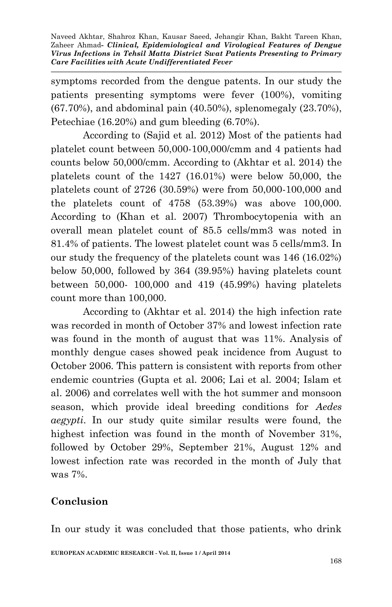symptoms recorded from the dengue patents. In our study the patients presenting symptoms were fever (100%), vomiting (67.70%), and abdominal pain (40.50%), splenomegaly (23.70%), Petechiae (16.20%) and gum bleeding (6.70%).

According to (Sajid et al. 2012) Most of the patients had platelet count between 50,000-100,000/cmm and 4 patients had counts below 50,000/cmm. According to (Akhtar et al. 2014) the platelets count of the 1427 (16.01%) were below 50,000, the platelets count of 2726 (30.59%) were from 50,000-100,000 and the platelets count of 4758 (53.39%) was above 100,000. According to (Khan et al. 2007) Thrombocytopenia with an overall mean platelet count of 85.5 cells/mm3 was noted in 81.4% of patients. The lowest platelet count was 5 cells/mm3. In our study the frequency of the platelets count was 146 (16.02%) below 50,000, followed by 364 (39.95%) having platelets count between 50,000- 100,000 and 419 (45.99%) having platelets count more than 100,000.

According to (Akhtar et al. 2014) the high infection rate was recorded in month of October 37% and lowest infection rate was found in the month of august that was 11%. Analysis of monthly dengue cases showed peak incidence from August to October 2006. This pattern is consistent with reports from other endemic countries (Gupta et al. 2006; Lai et al. 2004; Islam et al. 2006) and correlates well with the hot summer and monsoon season, which provide ideal breeding conditions for *Aedes aegypti*. In our study quite similar results were found, the highest infection was found in the month of November 31%, followed by October 29%, September 21%, August 12% and lowest infection rate was recorded in the month of July that was 7%.

# **Conclusion**

In our study it was concluded that those patients, who drink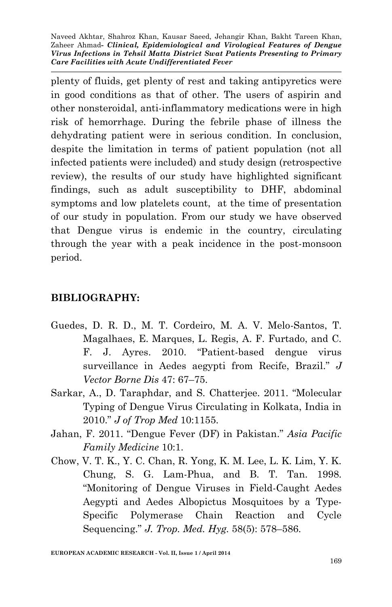plenty of fluids, get plenty of rest and taking antipyretics were in good conditions as that of other. The users of aspirin and other nonsteroidal, anti-inflammatory medications were in high risk of hemorrhage. During the febrile phase of illness the dehydrating patient were in serious condition. In conclusion, despite the limitation in terms of patient population (not all infected patients were included) and study design (retrospective review), the results of our study have highlighted significant findings, such as adult susceptibility to DHF, abdominal symptoms and low platelets count, at the time of presentation of our study in population. From our study we have observed that Dengue virus is endemic in the country, circulating through the year with a peak incidence in the post-monsoon period.

# **BIBLIOGRAPHY:**

- Guedes, D. R. D., M. T. Cordeiro, M. A. V. Melo-Santos, T. Magalhaes, E. Marques, L. Regis, A. F. Furtado, and C. F. J. Ayres. 2010. "Patient-based dengue virus surveillance in Aedes aegypti from Recife, Brazil." *J Vector Borne Dis* 47: 67–75.
- Sarkar, A., D. Taraphdar, and S. Chatterjee. 2011. "Molecular Typing of Dengue Virus Circulating in Kolkata, India in 2010." *J of Trop Med* 10:1155.
- Jahan, F. 2011. "Dengue Fever (DF) in Pakistan." *Asia Pacific Family Medicine* 10:1.
- Chow, V. T. K., Y. C. Chan, R. Yong, K. M. Lee, L. K. Lim, Y. K. Chung, S. G. Lam-Phua, and B. T. Tan. 1998. "Monitoring of Dengue Viruses in Field-Caught Aedes Aegypti and Aedes Albopictus Mosquitoes by a Type-Specific Polymerase Chain Reaction and Cycle Sequencing." *J. Trop. Med. Hyg.* 58(5): 578–586.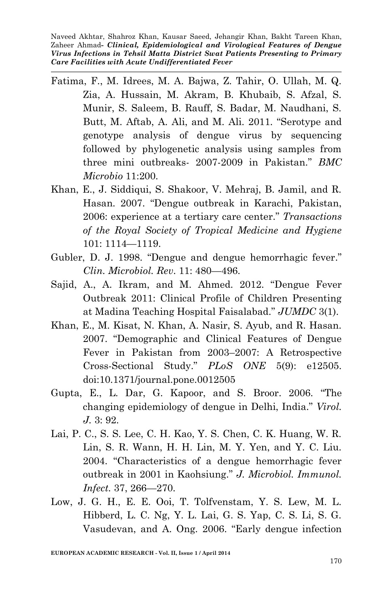- Fatima, F., M. Idrees, M. A. Bajwa, Z. Tahir, O. Ullah, M. Q. Zia, A. Hussain, M. Akram, B. Khubaib, S. Afzal, S. Munir, S. Saleem, B. Rauff, S. Badar, M. Naudhani, S. Butt, M. Aftab, A. Ali, and M. Ali. 2011. "Serotype and genotype analysis of dengue virus by sequencing followed by phylogenetic analysis using samples from three mini outbreaks- 2007-2009 in Pakistan." *BMC Microbio* 11:200.
- Khan, E., J. Siddiqui, S. Shakoor, V. Mehraj, B. Jamil, and R. Hasan. 2007. "Dengue outbreak in Karachi, Pakistan, 2006: experience at a tertiary care center." *Transactions of the Royal Society of Tropical Medicine and Hygiene* 101: 1114—1119.
- Gubler, D. J. 1998. "Dengue and dengue hemorrhagic fever." *Clin. Microbiol. Rev*. 11: 480—496.
- Sajid, A., A. Ikram, and M. Ahmed. 2012. "Dengue Fever Outbreak 2011: Clinical Profile of Children Presenting at Madina Teaching Hospital Faisalabad." *JUMDC* 3(1).
- Khan, E., M. Kisat, N. Khan, A. Nasir, S. Ayub, and R. Hasan. 2007. "Demographic and Clinical Features of Dengue Fever in Pakistan from 2003–2007: A Retrospective Cross-Sectional Study." *PLoS ONE* 5(9): e12505. doi:10.1371/journal.pone.0012505
- Gupta, E., L. Dar, G. Kapoor, and S. Broor. 2006. "The changing epidemiology of dengue in Delhi, India." *Virol. J.* 3: 92.
- Lai, P. C., S. S. Lee, C. H. Kao, Y. S. Chen, C. K. Huang, W. R. Lin, S. R. Wann, H. H. Lin, M. Y. Yen, and Y. C. Liu. 2004. "Characteristics of a dengue hemorrhagic fever outbreak in 2001 in Kaohsiung." *J. Microbiol. Immunol. Infect.* 37, 266—270.
- Low, J. G. H., E. E. Ooi, T. Tolfvenstam, Y. S. Lew, M. L. Hibberd, L. C. Ng, Y. L. Lai, G. S. Yap, C. S. Li, S. G. Vasudevan, and A. Ong. 2006. "Early dengue infection